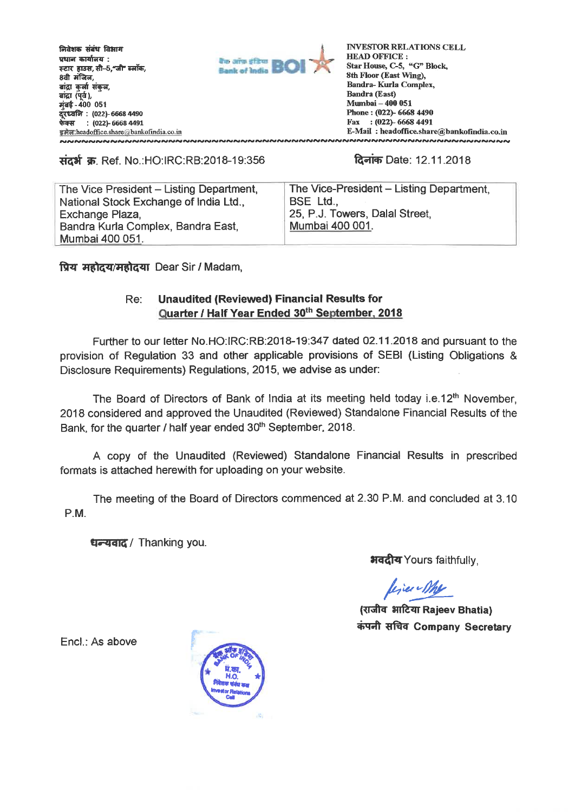**M-avrs \*iv Fawn Timm-wralgar - . FEIT हाउस, सी-5, जी' ब्लॉक, 8dt slitu, arWr Tarr f.rTa; ai**द्रा (पर्व), **मंबई- 400 051 : (022)-6668 4490 <sup>5</sup>'47fr : (022)- 6668 4491 EA** headoffice.share a bankofindia.co.in<br>NA NA NA NA NA NA NA NA NA NA NA



**INVESTOR RELATIONS CELL HEAD OFFICE : Star House, C-5, "G" Block, 8th Floor (East Wing), Bandra- Kurla Complex, Sandra (East) Mumbai - 400 051 Phone : (022)- 6668 4490 Fax : (022)- 6668 4491 E-Mail : headoffice.share@bankofindia.co.in**

## **High का Ref. No.:HO:IRC:RB:2018-19:356 <b>ideas** Date: 12.11.2018

The Vice President — Listing Department, National Stock Exchange of India Ltd., Exchange Plaza, Bandra Kurla Complex, Bandra East, Mumbai 400 051.

The Vice-President — Listing Department, BSE Ltd., 25, P.J. Towers, Dalal Street, Mumbai 400 001.

**ftzi 4.4/.116 44u** Dear Sir / Madam,

## Re: **Unaudited (Reviewed) Financial Results for Quarter / Half Year Ended 30th September, 2018**

Further to our letter No.HO:IRC:RB:2018-19:347 dated 02.11.2018 and pursuant to the provision of Regulation 33 and other applicable provisions of SEBI (Listing Obligations & Disclosure Requirements) Regulations, 2015, we advise as under:

The Board of Directors of Bank of India at its meeting held today i.e.12<sup>th</sup> November, 2018 considered and approved the Unaudited (Reviewed) Standalone Financial Results of the Bank, for the quarter / half year ended 30<sup>th</sup> September, 2018.

A copy of the Unaudited (Reviewed) Standalone Financial Results in prescribed formats is attached herewith for uploading on your website.

The meeting of the Board of Directors commenced at 2.30 P.M. and concluded at 3.10 P.M.

**धन्यवाद** / Thanking you.

**भवदीय Yours faithfully,** 

line Me

**31Ifezir Rajeev Bhatia)**   $\frac{1}{2}$  $\frac{1}{2}$  $\frac{1}{2}$  $\frac{1}{2}$  $\frac{1}{2}$  $\frac{1}{2}$  $\frac{1}{2}$  $\frac{1}{2}$  $\frac{1}{2}$  $\frac{1}{2}$  $\frac{1}{2}$  $\frac{1}{2}$  $\frac{1}{2}$  $\frac{1}{2}$  $\frac{1}{2}$  $\frac{1}{2}$  $\frac{1}{2}$  $\frac{1}{2}$  $\frac{1}{2}$  $\frac{1}{2}$  $\frac{1}{2}$  $\frac{1}{2}$ 

End.: As above

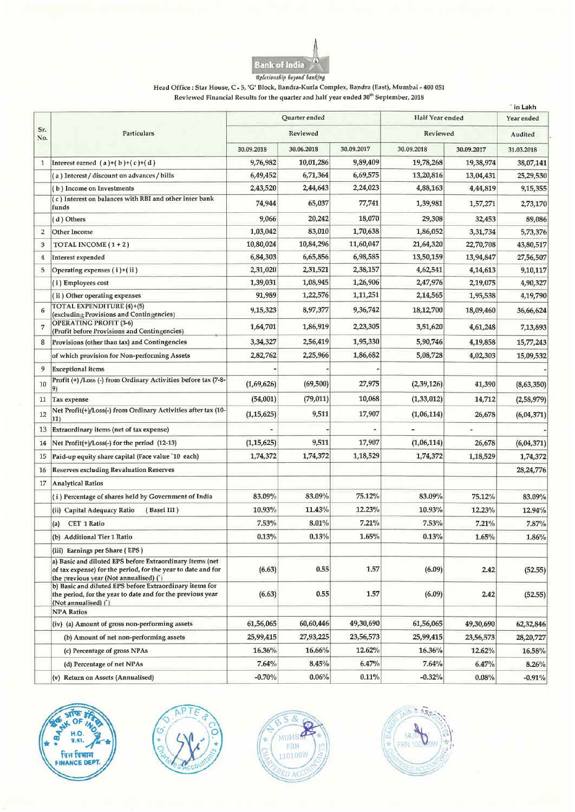

Head Office : Star House, C - 5,'G' Block, Bandra-Kurla Complex, Bandra (East), Mumbai - 400 051 Reviewed Financial Results for the quarter and half year ended 30<sup>th</sup> September, 2018

|              |                                                                                                                                                                   |              |               |            |                 |            | ` in Lakh  |
|--------------|-------------------------------------------------------------------------------------------------------------------------------------------------------------------|--------------|---------------|------------|-----------------|------------|------------|
|              | Particulars                                                                                                                                                       |              | Quarter ended |            | Half Year ended |            | Year ended |
| Sr.<br>No.   |                                                                                                                                                                   | Reviewed     |               |            | Reviewed        |            | Audited    |
|              |                                                                                                                                                                   | 30.09.2018   | 30.06.2018    | 30.09.2017 | 30.09.2018      | 30.09.2017 | 31.03.2018 |
| $\mathbf{1}$ | Interest earned $(a)+(b)+(c)+(d)$                                                                                                                                 | 9,76,982     | 10,01,286     | 9,89,409   | 19,78,268       | 19,38,974  | 38,07,141  |
|              | (a) Interest / discount on advances / bills                                                                                                                       | 6,49,452     | 6,71,364      | 6,69,575   | 13,20,816       | 13,04,431  | 25,29,530  |
|              | (b) Income on Investments                                                                                                                                         | 2,43,520     | 2,44,643      | 2,24,023   | 4,88,163        | 4,44,819   | 9,15,355   |
|              | (c) Interest on balances with RBI and other inter bank<br>funds                                                                                                   | 74,944       | 65,037        | 77,741     | 1,39,981        | 1,57,271   | 2,73,170   |
|              | (d) Others                                                                                                                                                        | 9,066        | 20,242        | 18,070     | 29,308          | 32,453     | 89,086     |
| 2            | Other Income                                                                                                                                                      | 1,03,042     | 83,010        | 1,70,638   | 1,86,052        | 3,31,734   | 5,73,376   |
| 3            | TOTAL INCOME $(1+2)$                                                                                                                                              | 10,80,024    | 10,84,296     | 11,60,047  | 21,64,320       | 22,70,708  | 43,80,517  |
| 4            | Interest expended                                                                                                                                                 | 6,84,303     | 6,65,856      | 6,98,585   | 13,50,159       | 13,94,847  | 27,56,507  |
| 5            | Operating expenses (i)+(ii)                                                                                                                                       | 2,31,020     | 2,31,521      | 2,38,157   | 4,62,541        | 4,14,613   | 9,10,117   |
|              | (i) Employees cost                                                                                                                                                | 1,39,031     | 1,08,945      | 1,26,906   | 2,47,976        | 2,19,075   | 4,90,327   |
|              | (ii) Other operating expenses                                                                                                                                     | 91,989       | 1,22,576      | 1,11,251   | 2,14,565        | 1,95,538   | 4,19,790   |
| 6            | TOTAL EXPENDITURE (4)+(5)<br>(excluding Provisions and Contingencies)                                                                                             | 9,15,323     | 8,97,377      | 9,36,742   | 18,12,700       | 18,09,460  | 36,66,624  |
| 7            | <b>OPERATING PROFIT (3-6)</b><br>(Profit before Provisions and Contingencies)                                                                                     | 1,64,701     | 1,86,919      | 2,23,305   | 3,51,620        | 4,61,248   | 7,13,893   |
| 8            | Provisions (other than tax) and Contingencies                                                                                                                     | 3,34,327     | 2,56,419      | 1,95,330   | 5,90,746        | 4,19,858   | 15,77,243  |
|              | of which provision for Non-performing Assets                                                                                                                      | 2,82,762     | 2,25,966      | 1,86,682   | 5,08,728        | 4,02,303   | 15,09,532  |
| 9            | Exceptional items                                                                                                                                                 |              |               |            |                 |            |            |
| 10           | Profit (+) /Loss (-) from Ordinary Activities before tax (7-8-<br>9)                                                                                              | (1,69,626)   | (69, 500)     | 27,975     | (2,39,126)      | 41,390     | (8,63,350) |
| 11           | Tax expense                                                                                                                                                       | (54,001)     | (79, 011)     | 10,068     | (1, 33, 012)    | 14,712     | (2,58,979) |
| 12           | Net Profit(+)/Loss(-) from Ordinary Activities after tax (10-<br>11)                                                                                              | (1, 15, 625) | 9,511         | 17,907     | (1,06,114)      | 26,678     | (6,04,371) |
| 13           | Extraordinary items (net of tax expense)                                                                                                                          |              |               |            |                 |            |            |
| 14           | Net Profit(+)/Loss(-) for the period (12-13)                                                                                                                      | (1, 15, 625) | 9,511         | 17,907     | (1,06,114)      | 26,678     | (6,04,371) |
| 15           | Paid-up equity share capital (Face value '10 each)                                                                                                                | 1,74,372     | 1,74,372      | 1,18,529   | 1,74,372        | 1,18,529   | 1,74,372   |
| 16           | <b>Reserves excluding Revaluation Reserves</b>                                                                                                                    |              |               |            |                 |            | 28,24,776  |
| 17           | <b>Analytical Ratios</b>                                                                                                                                          |              |               |            |                 |            |            |
|              | (i) Percentage of shares held by Government of India                                                                                                              | 83.09%       | 83.09%        | 75.12%     | 83.09%          | 75.12%     | 83.09%     |
|              | (Basel III)<br>(ii) Capital Adequacy Ratio                                                                                                                        | 10.93%       | 11.43%        | 12.23%     | 10.93%          | 12.23%     | 12.94%     |
|              | <b>CET 1 Ratio</b><br>(a)                                                                                                                                         | 7.53%        | 8.01%         | 7.21%      | 7.53%           | 7.21%      | 7.87%      |
|              | (b) Additional Tier 1 Ratio                                                                                                                                       | 0.13%        | 0.13%         | 1.65%      | 0.13%           | 1.65%      | 1.86%      |
|              | (iii) Earnings per Share (EPS)                                                                                                                                    |              |               |            |                 |            |            |
|              | a) Basic and diluted EPS before Extraordinary items (net<br>of tax expense) for the period, for the year to date and for<br>the previous year (Not annualised) () | (6.63)       | 0.55          | 1.57       | (6.09)          | 2.42       | (52.55)    |
|              | b) Basic and diluted EPS before Extraordinary items for<br>the period, for the year to date and for the previous year<br>(Not annualised) ()                      | (6.63)       | 0.55          | 1.57       | (6.09)          | 2.42       | (52.55)    |
|              | <b>NPA Ratios</b>                                                                                                                                                 |              |               |            |                 |            |            |
|              | (iv) (a) Amount of gross non-performing assets                                                                                                                    | 61,56,065    | 60,60,446     | 49,30,690  | 61,56,065       | 49,30,690  | 62,32,846  |
|              | (b) Amount of net non-performing assets                                                                                                                           | 25,99,415    | 27,93,225     | 23,56,573  | 25,99,415       | 23,56,573  | 28,20,727  |
|              | (c) Percentage of gross NPAs                                                                                                                                      | 16.36%       | 16.66%        | 12.62%     | 16.36%          | 12.62%     | 16.58%     |
|              | (d) Percentage of net NPAs                                                                                                                                        | 7.64%        | 8.45%         | 6.47%      | 7.64%           | 6.47%      | 8.26%      |
|              | (v) Return on Assets (Annualised)                                                                                                                                 | $-0.70%$     | $0.06\%$      | $0.11\%$   | $-0.32%$        | 0.08%      | $-0.91%$   |







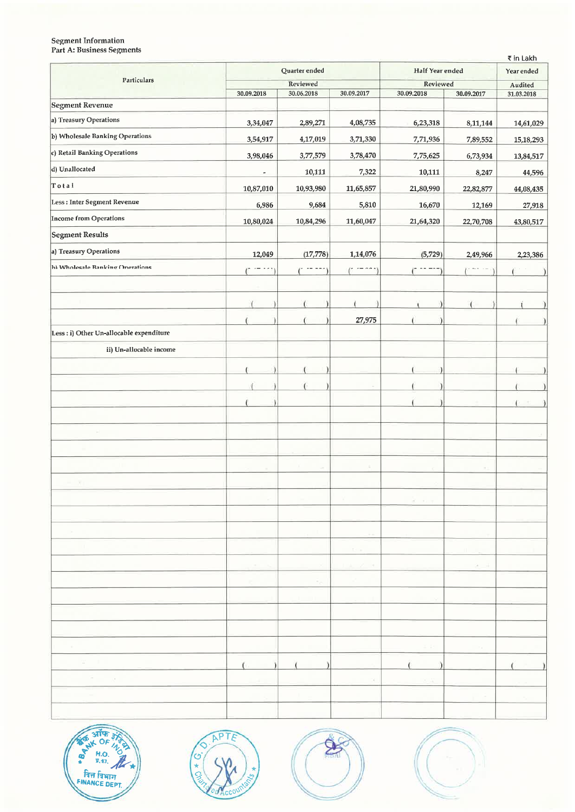## Segment Information Part A: Business Segments

| 74                                       |                                                            |        |                    |          | $\sim$          |               |
|------------------------------------------|------------------------------------------------------------|--------|--------------------|----------|-----------------|---------------|
|                                          |                                                            |        |                    |          |                 |               |
|                                          |                                                            |        |                    |          |                 |               |
|                                          |                                                            |        | $(1 - 1)$          |          |                 |               |
|                                          |                                                            |        |                    |          |                 |               |
|                                          |                                                            |        |                    |          |                 |               |
|                                          |                                                            |        |                    | Л        |                 |               |
|                                          |                                                            |        |                    |          |                 |               |
|                                          |                                                            | f.     | $\epsilon$         |          |                 |               |
|                                          |                                                            |        | 27,975             |          |                 |               |
| Less : i) Other Un-allocable expenditure |                                                            |        |                    |          |                 | 1             |
| ii) Un-allocable income                  |                                                            |        |                    |          |                 |               |
|                                          |                                                            |        |                    |          |                 |               |
|                                          |                                                            |        |                    | -)       |                 |               |
|                                          |                                                            |        | $\mathcal{A}$      |          |                 |               |
|                                          |                                                            |        |                    |          |                 |               |
| controlled in                            |                                                            |        |                    |          |                 |               |
|                                          |                                                            |        |                    |          |                 |               |
|                                          |                                                            |        |                    |          |                 |               |
|                                          |                                                            | $\sim$ | $\mathcal{A}_1$    |          | JU.             |               |
|                                          |                                                            |        |                    |          |                 |               |
|                                          |                                                            |        |                    | 30 22 33 |                 |               |
|                                          |                                                            |        |                    |          |                 |               |
| $\sim$                                   |                                                            |        | $\sim$ $-$         |          |                 |               |
| $\mathcal{A}$                            |                                                            |        | $\mathbb{R}^{n}$ . |          |                 |               |
|                                          | $-1 - 6$                                                   |        | 1.4.2.3            |          | $2 - 1$         |               |
|                                          |                                                            | 76     |                    |          |                 |               |
|                                          |                                                            |        |                    |          |                 |               |
|                                          |                                                            |        |                    |          |                 |               |
|                                          |                                                            |        |                    |          |                 |               |
| <b>All Card</b>                          |                                                            |        |                    | $-7.51$  | $\sim$ 14 $\pm$ |               |
| $\mathcal{U}=\mathcal{V}$                | $\left(\begin{array}{cc} 1 & 1 \end{array}\right)$<br>$\ $ |        |                    |          |                 | $\rightarrow$ |
| $\sim$ $\sim$ $\sim$ $\sim$              |                                                            |        | $\mathcal{H}$      | ×        |                 |               |
| $\sim$ 100 $\mu$                         |                                                            |        |                    |          | $\sim$          |               |
|                                          |                                                            |        |                    |          |                 |               |





MU'